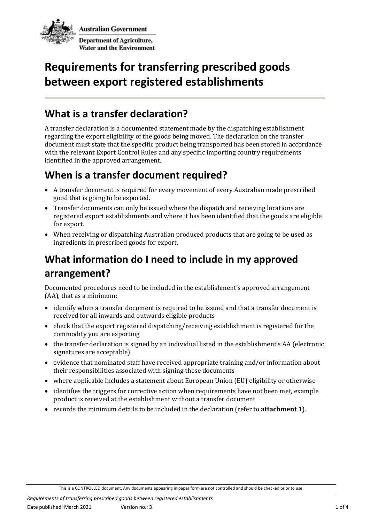

# **Requirements for transferring prescribed goods between export registered establishments**

#### **What is a transfer declaration?**

A transfer declaration is a documented statement made by the dispatching establishment regarding the export eligibility of the goods being moved. The declaration on the transfer document must state that the specific product being transported has been stored in accordance with the relevant Export Control Rules and any specific importing country requirements identified in the approved arrangement.

#### **When is a transfer document required?**

- A transfer document is required for every movement of every Australian made prescribed good that is going to be exported.
- Transfer documents can only be issued where the dispatch and receiving locations are registered export establishments and where it has been identified that the goods are eligible for export.
- When receiving or dispatching Australian produced products that are going to be used as ingredients in prescribed goods for export.

### **What information do I need to include in my approved arrangement?**

Documented procedures need to be included in the establishment's approved arrangement (AA), that as a minimum:

- identify when a transfer document is required to be issued and that a transfer document is received for all inwards and outwards eligible products
- check that the export registered dispatching/receiving establishment is registered for the commodity you are exporting
- the transfer declaration is signed by an individual listed in the establishment's AA (electronic signatures are acceptable)
- evidence that nominated staff have received appropriate training and/or information about their responsibilities associated with signing these documents
- where applicable includes a statement about European Union (EU) eligibility or otherwise
- identifies the triggers for corrective action when requirements have not been met, example product is received at the establishment without a transfer document
- records the minimum details to be included in the declaration (refer to **attachment 1**).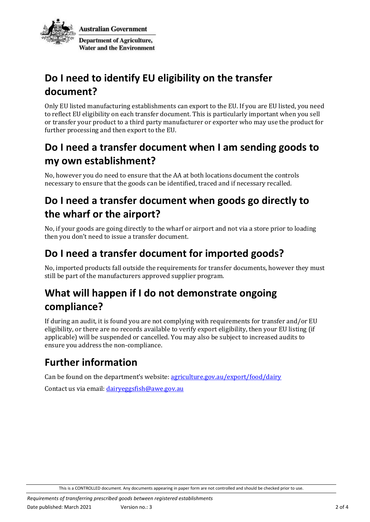

# **Do I need to identify EU eligibility on the transfer document?**

Only EU listed manufacturing establishments can export to the EU. If you are EU listed, you need to reflect EU eligibility on each transfer document. This is particularly important when you sell or transfer your product to a third party manufacturer or exporter who may use the product for further processing and then export to the EU.

#### **Do I need a transfer document when I am sending goods to my own establishment?**

No, however you do need to ensure that the AA at both locations document the controls necessary to ensure that the goods can be identified, traced and if necessary recalled.

### **Do I need a transfer document when goods go directly to the wharf or the airport?**

No, if your goods are going directly to the wharf or airport and not via a store prior to loading then you don't need to issue a transfer document.

### **Do I need a transfer document for imported goods?**

No, imported products fall outside the requirements for transfer documents, however they must still be part of the manufacturers approved supplier program.

# **What will happen if I do not demonstrate ongoing compliance?**

If during an audit, it is found you are not complying with requirements for transfer and/or EU eligibility, or there are no records available to verify export eligibility, then your EU listing (if applicable) will be suspended or cancelled. You may also be subject to increased audits to ensure you address the non-compliance.

# **Further information**

Can be found on the department's website: agriculture.gov.au/export/food/dairy

Contact us via email: [dairyeggsfish@awe.gov.au](mailto:dairyeggsfish@awe.gov.au)

This is a CONTROLLED document. Any documents appearing in paper form are not controlled and should be checked prior to use.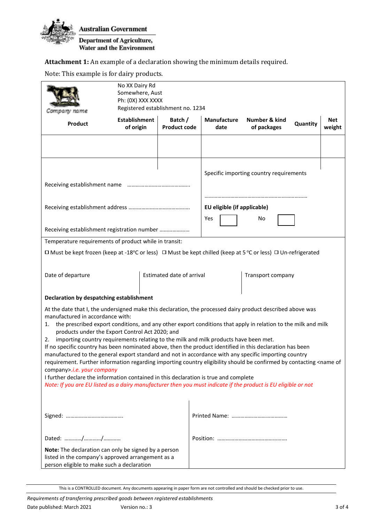

**Attachment 1:** An example of a declaration showing the minimum details required.

Note: This example is for dairy products.

|                                                                                                                                                                                                                                                                                                                                                                                                                        | No XX Dairy Rd<br>Somewhere, Aust<br>Ph: (0X) XXX XXXX<br>Registered establishment no. 1234 |                                |                                         |  |                                   |  |          |               |
|------------------------------------------------------------------------------------------------------------------------------------------------------------------------------------------------------------------------------------------------------------------------------------------------------------------------------------------------------------------------------------------------------------------------|---------------------------------------------------------------------------------------------|--------------------------------|-----------------------------------------|--|-----------------------------------|--|----------|---------------|
| Product                                                                                                                                                                                                                                                                                                                                                                                                                | Establishment<br>of origin                                                                  | Batch /<br><b>Product code</b> | <b>Manufacture</b><br>date              |  | Number & kind<br>of packages      |  | Quantity | Net<br>weight |
|                                                                                                                                                                                                                                                                                                                                                                                                                        |                                                                                             |                                |                                         |  |                                   |  |          |               |
|                                                                                                                                                                                                                                                                                                                                                                                                                        |                                                                                             |                                | Specific importing country requirements |  |                                   |  |          |               |
|                                                                                                                                                                                                                                                                                                                                                                                                                        |                                                                                             |                                | Yes                                     |  | EU eligible (if applicable)<br>No |  |          |               |
| Receiving establishment registration number                                                                                                                                                                                                                                                                                                                                                                            |                                                                                             |                                |                                         |  |                                   |  |          |               |
| Temperature requirements of product while in transit:                                                                                                                                                                                                                                                                                                                                                                  |                                                                                             |                                |                                         |  |                                   |  |          |               |
| □ Must be kept frozen (keep at -18°C or less) □ Must be kept chilled (keep at 5 °C or less) □ Un-refrigerated                                                                                                                                                                                                                                                                                                          |                                                                                             |                                |                                         |  |                                   |  |          |               |
| Date of departure<br>Estimated date of arrival                                                                                                                                                                                                                                                                                                                                                                         |                                                                                             |                                | Transport company                       |  |                                   |  |          |               |
| Declaration by despatching establishment                                                                                                                                                                                                                                                                                                                                                                               |                                                                                             |                                |                                         |  |                                   |  |          |               |
| At the date that I, the undersigned make this declaration, the processed dairy product described above was<br>manufactured in accordance with:<br>the prescribed export conditions, and any other export conditions that apply in relation to the milk and milk<br>1.<br>products under the Export Control Act 2020; and<br>importing country requirements relating to the milk and milk products have been met.<br>2. |                                                                                             |                                |                                         |  |                                   |  |          |               |
| If no specific country has been nominated above, then the product identified in this declaration has been<br>manufactured to the general export standard and not in accordance with any specific importing country<br>requirement. Further information regarding importing country eligibility should be confirmed by contacting <name of<br="">company&gt;.i.e. your company</name>                                   |                                                                                             |                                |                                         |  |                                   |  |          |               |
| I further declare the information contained in this declaration is true and complete<br>Note: If you are EU listed as a dairy manufacturer then you must indicate if the product is EU eligible or not                                                                                                                                                                                                                 |                                                                                             |                                |                                         |  |                                   |  |          |               |
|                                                                                                                                                                                                                                                                                                                                                                                                                        |                                                                                             |                                |                                         |  |                                   |  |          |               |
|                                                                                                                                                                                                                                                                                                                                                                                                                        |                                                                                             |                                |                                         |  |                                   |  |          |               |
| Note: The declaration can only be signed by a person<br>listed in the company's approved arrangement as a<br>person eligible to make such a declaration                                                                                                                                                                                                                                                                |                                                                                             |                                |                                         |  |                                   |  |          |               |

This is a CONTROLLED document. Any documents appearing in paper form are not controlled and should be checked prior to use.